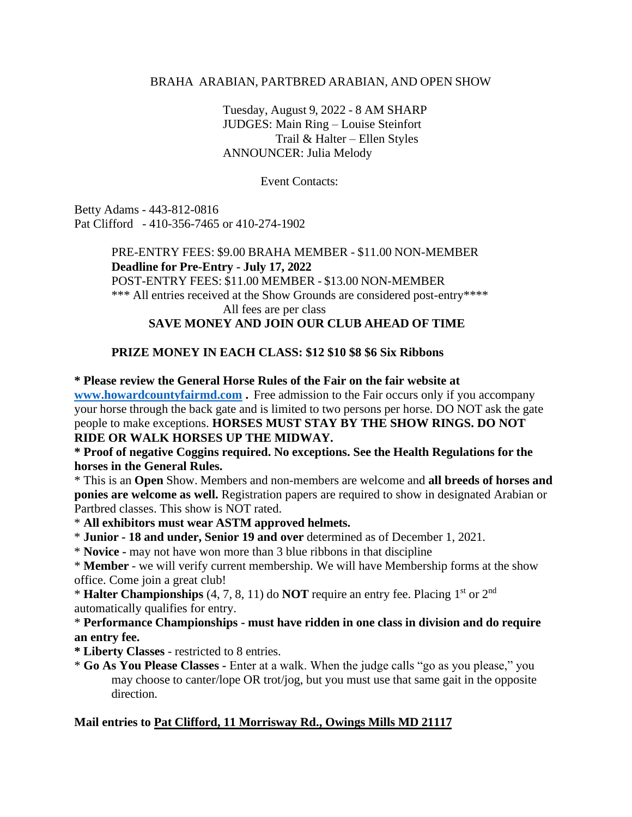### BRAHA ARABIAN, PARTBRED ARABIAN, AND OPEN SHOW

Tuesday, August 9, 2022 - 8 AM SHARP JUDGES: Main Ring – Louise Steinfort Trail & Halter – Ellen Styles ANNOUNCER: Julia Melody

Event Contacts:

Betty Adams - 443-812-0816 Pat Clifford - 410-356-7465 or 410-274-1902

> PRE-ENTRY FEES: \$9.00 BRAHA MEMBER - \$11.00 NON-MEMBER **Deadline for Pre-Entry - July 17, 2022** POST-ENTRY FEES: \$11.00 MEMBER - \$13.00 NON-MEMBER \*\*\* All entries received at the Show Grounds are considered post-entry\*\*\*\* All fees are per class **SAVE MONEY AND JOIN OUR CLUB AHEAD OF TIME**

# **PRIZE MONEY IN EACH CLASS: \$12 \$10 \$8 \$6 Six Ribbons**

**\* Please review the General Horse Rules of the Fair on the fair website at** 

**[www.howardcountyfairmd.com](http://www.howardcountyfairmd.com/) .** Free admission to the Fair occurs only if you accompany your horse through the back gate and is limited to two persons per horse. DO NOT ask the gate people to make exceptions. **HORSES MUST STAY BY THE SHOW RINGS. DO NOT RIDE OR WALK HORSES UP THE MIDWAY.**

## **\* Proof of negative Coggins required. No exceptions. See the Health Regulations for the horses in the General Rules.**

\* This is an **Open** Show. Members and non-members are welcome and **all breeds of horses and ponies are welcome as well.** Registration papers are required to show in designated Arabian or Partbred classes. This show is NOT rated.

\* **All exhibitors must wear ASTM approved helmets.**

\* **Junior - 18 and under, Senior 19 and over** determined as of December 1, 2021.

\* **Novice -** may not have won more than 3 blue ribbons in that discipline

\* **Member** - we will verify current membership. We will have Membership forms at the show office. Come join a great club!

\* **Halter Championships** (4, 7, 8, 11) do **NOT** require an entry fee. Placing 1 st or 2 nd automatically qualifies for entry.

\* **Performance Championships - must have ridden in one class in division and do require an entry fee.**

**\* Liberty Classes** - restricted to 8 entries.

\* **Go As You Please Classes -** Enter at a walk. When the judge calls "go as you please," you may choose to canter/lope OR trot/jog, but you must use that same gait in the opposite direction.

# **Mail entries to Pat Clifford, 11 Morrisway Rd., Owings Mills MD 21117**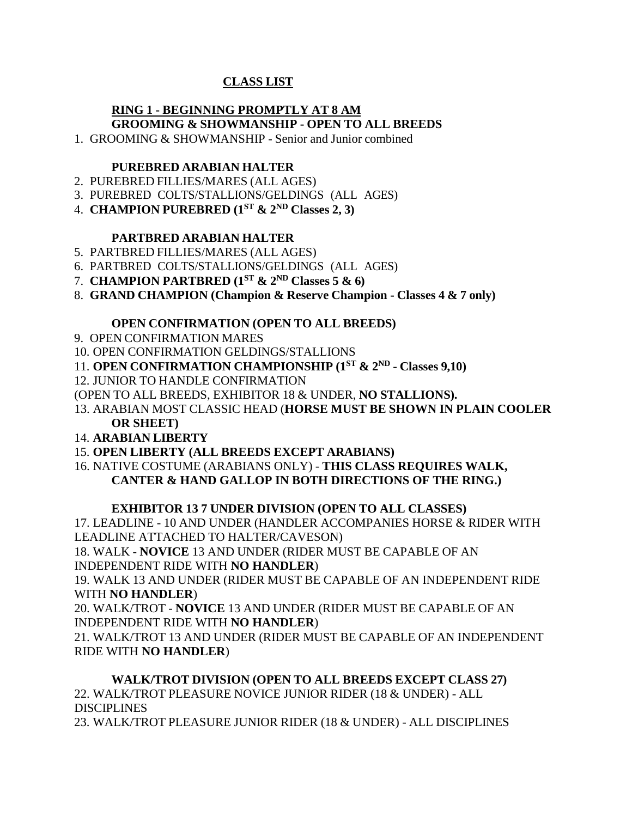# **CLASS LIST**

# **RING 1 - BEGINNING PROMPTLY AT 8 AM**

# **GROOMING & SHOWMANSHIP - OPEN TO ALL BREEDS**

1. GROOMING & SHOWMANSHIP - Senior and Junior combined

# **PUREBRED ARABIAN HALTER**

- 2. PUREBRED FILLIES/MARES (ALL AGES)
- 3. PUREBRED COLTS/STALLIONS/GELDINGS (ALL AGES)
- 4. **CHAMPION PUREBRED (1ST & 2 ND Classes 2, 3)**

# **PARTBRED ARABIAN HALTER**

- 5. PARTBRED FILLIES/MARES (ALL AGES)
- 6. PARTBRED COLTS/STALLIONS/GELDINGS (ALL AGES)
- 7. **CHAMPION PARTBRED (1ST & 2 ND Classes 5 & 6)**
- 8. **GRAND CHAMPION (Champion & Reserve Champion - Classes 4 & 7 only)**

# **OPEN CONFIRMATION (OPEN TO ALL BREEDS)**

- 9. OPEN CONFIRMATION MARES
- 10. OPEN CONFIRMATION GELDINGS/STALLIONS
- 11. **OPEN CONFIRMATION CHAMPIONSHIP (1ST & 2 ND - Classes 9,10)**
- 12. JUNIOR TO HANDLE CONFIRMATION
- (OPEN TO ALL BREEDS, EXHIBITOR 18 & UNDER, **NO STALLIONS).**
- 13. ARABIAN MOST CLASSIC HEAD (**HORSE MUST BE SHOWN IN PLAIN COOLER OR SHEET)**
- 14. **ARABIAN LIBERTY**
- 15. **OPEN LIBERTY (ALL BREEDS EXCEPT ARABIANS)**
- 16. NATIVE COSTUME (ARABIANS ONLY) **THIS CLASS REQUIRES WALK, CANTER & HAND GALLOP IN BOTH DIRECTIONS OF THE RING.)**

# **EXHIBITOR 13 7 UNDER DIVISION (OPEN TO ALL CLASSES)**

17. LEADLINE - 10 AND UNDER (HANDLER ACCOMPANIES HORSE & RIDER WITH LEADLINE ATTACHED TO HALTER/CAVESON)

18. WALK - **NOVICE** 13 AND UNDER (RIDER MUST BE CAPABLE OF AN INDEPENDENT RIDE WITH **NO HANDLER**)

19. WALK 13 AND UNDER (RIDER MUST BE CAPABLE OF AN INDEPENDENT RIDE WITH **NO HANDLER**)

20. WALK/TROT - **NOVICE** 13 AND UNDER (RIDER MUST BE CAPABLE OF AN INDEPENDENT RIDE WITH **NO HANDLER**)

21. WALK/TROT 13 AND UNDER (RIDER MUST BE CAPABLE OF AN INDEPENDENT RIDE WITH **NO HANDLER**)

**WALK/TROT DIVISION (OPEN TO ALL BREEDS EXCEPT CLASS 27)** 22. WALK/TROT PLEASURE NOVICE JUNIOR RIDER (18 & UNDER) - ALL **DISCIPLINES** 23. WALK/TROT PLEASURE JUNIOR RIDER (18 & UNDER) - ALL DISCIPLINES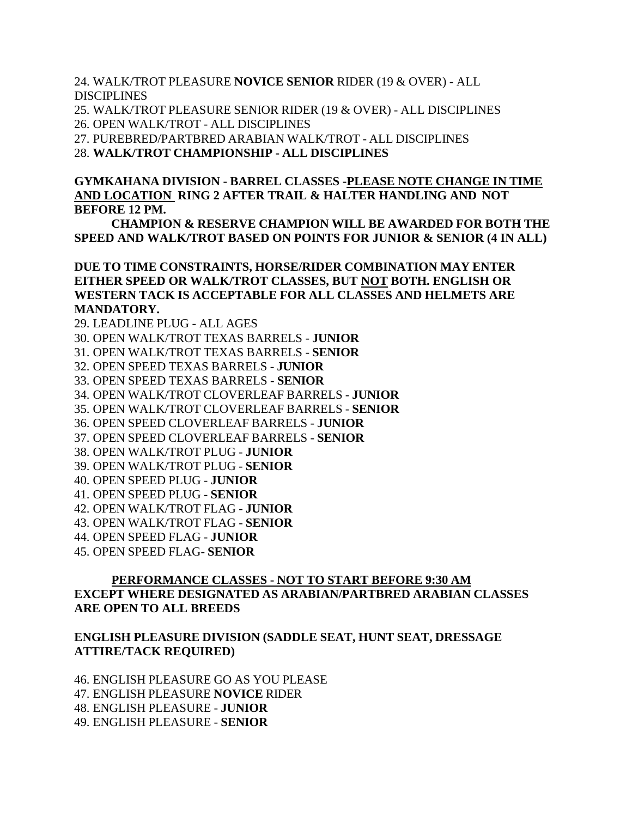24. WALK/TROT PLEASURE **NOVICE SENIOR** RIDER (19 & OVER) - ALL **DISCIPLINES** 

25. WALK/TROT PLEASURE SENIOR RIDER (19 & OVER) - ALL DISCIPLINES 26. OPEN WALK/TROT - ALL DISCIPLINES

27. PUREBRED/PARTBRED ARABIAN WALK/TROT - ALL DISCIPLINES

28. **WALK/TROT CHAMPIONSHIP - ALL DISCIPLINES**

**GYMKAHANA DIVISION - BARREL CLASSES -PLEASE NOTE CHANGE IN TIME AND LOCATION RING 2 AFTER TRAIL & HALTER HANDLING AND NOT BEFORE 12 PM.**

**CHAMPION & RESERVE CHAMPION WILL BE AWARDED FOR BOTH THE SPEED AND WALK/TROT BASED ON POINTS FOR JUNIOR & SENIOR (4 IN ALL)**

**DUE TO TIME CONSTRAINTS, HORSE/RIDER COMBINATION MAY ENTER EITHER SPEED OR WALK/TROT CLASSES, BUT NOT BOTH. ENGLISH OR WESTERN TACK IS ACCEPTABLE FOR ALL CLASSES AND HELMETS ARE MANDATORY.**

29. LEADLINE PLUG - ALL AGES 30. OPEN WALK/TROT TEXAS BARRELS - **JUNIOR** 31. OPEN WALK/TROT TEXAS BARRELS - **SENIOR** 32. OPEN SPEED TEXAS BARRELS - **JUNIOR** 33. OPEN SPEED TEXAS BARRELS - **SENIOR** 34. OPEN WALK/TROT CLOVERLEAF BARRELS - **JUNIOR** 35. OPEN WALK/TROT CLOVERLEAF BARRELS - **SENIOR** 36. OPEN SPEED CLOVERLEAF BARRELS - **JUNIOR** 37. OPEN SPEED CLOVERLEAF BARRELS - **SENIOR** 38. OPEN WALK/TROT PLUG - **JUNIOR** 39. OPEN WALK/TROT PLUG - **SENIOR** 40. OPEN SPEED PLUG - **JUNIOR** 41. OPEN SPEED PLUG - **SENIOR** 42. OPEN WALK/TROT FLAG - **JUNIOR** 43. OPEN WALK/TROT FLAG - **SENIOR** 44. OPEN SPEED FLAG - **JUNIOR**

45. OPEN SPEED FLAG- **SENIOR**

# **PERFORMANCE CLASSES - NOT TO START BEFORE 9:30 AM EXCEPT WHERE DESIGNATED AS ARABIAN/PARTBRED ARABIAN CLASSES ARE OPEN TO ALL BREEDS**

### **ENGLISH PLEASURE DIVISION (SADDLE SEAT, HUNT SEAT, DRESSAGE ATTIRE/TACK REQUIRED)**

46. ENGLISH PLEASURE GO AS YOU PLEASE 47. ENGLISH PLEASURE **NOVICE** RIDER 48. ENGLISH PLEASURE - **JUNIOR** 49. ENGLISH PLEASURE - **SENIOR**